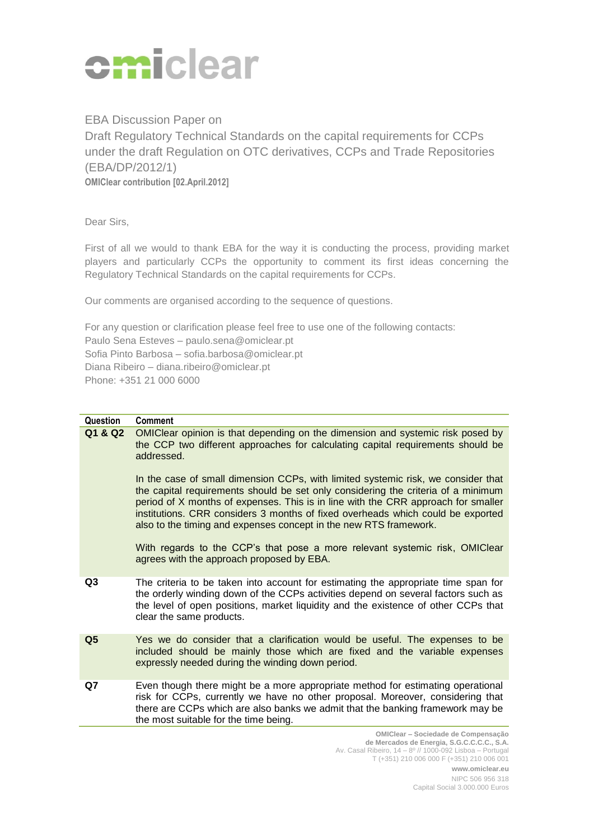

EBA Discussion Paper on Draft Regulatory Technical Standards on the capital requirements for CCPs under the draft Regulation on OTC derivatives, CCPs and Trade Repositories (EBA/DP/2012/1) **OMIClear contribution [02.April.2012]**

Dear Sirs,

First of all we would to thank EBA for the way it is conducting the process, providing market players and particularly CCPs the opportunity to comment its first ideas concerning the Regulatory Technical Standards on the capital requirements for CCPs.

Our comments are organised according to the sequence of questions.

For any question or clarification please feel free to use one of the following contacts: Paulo Sena Esteves – paulo.sena@omiclear.pt Sofia Pinto Barbosa – sofia.barbosa@omiclear.pt Diana Ribeiro – diana.ribeiro@omiclear.pt Phone: +351 21 000 6000

## **Question Comment**

**Q1 & Q2** OMIClear opinion is that depending on the dimension and systemic risk posed by the CCP two different approaches for calculating capital requirements should be addressed. In the case of small dimension CCPs, with limited systemic risk, we consider that the capital requirements should be set only considering the criteria of a minimum period of X months of expenses. This is in line with the CRR approach for smaller institutions. CRR considers 3 months of fixed overheads which could be exported also to the timing and expenses concept in the new RTS framework. With regards to the CCP's that pose a more relevant systemic risk, OMIClear agrees with the approach proposed by EBA. **Q3** The criteria to be taken into account for estimating the appropriate time span for the orderly winding down of the CCPs activities depend on several factors such as the level of open positions, market liquidity and the existence of other CCPs that clear the same products. **Q5** Yes we do consider that a clarification would be useful. The expenses to be included should be mainly those which are fixed and the variable expenses expressly needed during the winding down period. **Q7** Even though there might be a more appropriate method for estimating operational risk for CCPs, currently we have no other proposal. Moreover, considering that there are CCPs which are also banks we admit that the banking framework may be the most suitable for the time being.

> **OMIClear – Sociedade de Compensação de Mercados de Energia, S.G.C.C.C.C., S.A.** Av. Casal Ribeiro, 14 – 8º // 1000-092 Lisboa – Portugal T (+351) 210 006 000 F (+351) 210 006 001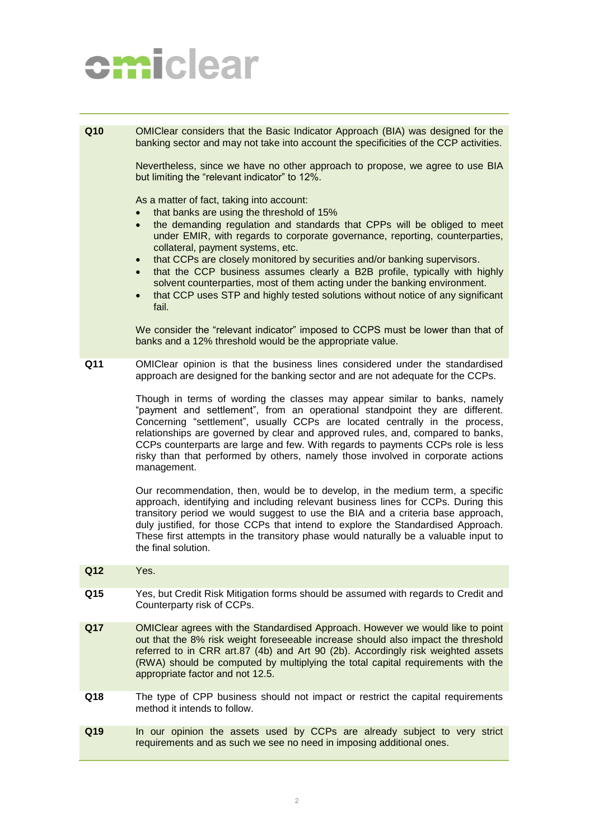## omiclear

**Q10** OMIClear considers that the Basic Indicator Approach (BIA) was designed for the banking sector and may not take into account the specificities of the CCP activities.

> Nevertheless, since we have no other approach to propose, we agree to use BIA but limiting the "relevant indicator" to 12%.

As a matter of fact, taking into account:

- that banks are using the threshold of 15%
- the demanding regulation and standards that CPPs will be obliged to meet under EMIR, with regards to corporate governance, reporting, counterparties, collateral, payment systems, etc.
- that CCPs are closely monitored by securities and/or banking supervisors.
- that the CCP business assumes clearly a B2B profile, typically with highly solvent counterparties, most of them acting under the banking environment.
- that CCP uses STP and highly tested solutions without notice of any significant fail.

We consider the "relevant indicator" imposed to CCPS must be lower than that of banks and a 12% threshold would be the appropriate value.

**Q11** OMIClear opinion is that the business lines considered under the standardised approach are designed for the banking sector and are not adequate for the CCPs.

> Though in terms of wording the classes may appear similar to banks, namely "payment and settlement", from an operational standpoint they are different. Concerning "settlement", usually CCPs are located centrally in the process, relationships are governed by clear and approved rules, and, compared to banks, CCPs counterparts are large and few. With regards to payments CCPs role is less risky than that performed by others, namely those involved in corporate actions management.

> Our recommendation, then, would be to develop, in the medium term, a specific approach, identifying and including relevant business lines for CCPs. During this transitory period we would suggest to use the BIA and a criteria base approach, duly justified, for those CCPs that intend to explore the Standardised Approach. These first attempts in the transitory phase would naturally be a valuable input to the final solution.

- **Q12** Yes.
- **Q15** Yes, but Credit Risk Mitigation forms should be assumed with regards to Credit and Counterparty risk of CCPs.
- **Q17** OMIClear agrees with the Standardised Approach. However we would like to point out that the 8% risk weight foreseeable increase should also impact the threshold referred to in CRR art.87 (4b) and Art 90 (2b). Accordingly risk weighted assets (RWA) should be computed by multiplying the total capital requirements with the appropriate factor and not 12.5.
- **Q18** The type of CPP business should not impact or restrict the capital requirements method it intends to follow.
- **Q19** In our opinion the assets used by CCPs are already subject to very strict requirements and as such we see no need in imposing additional ones.